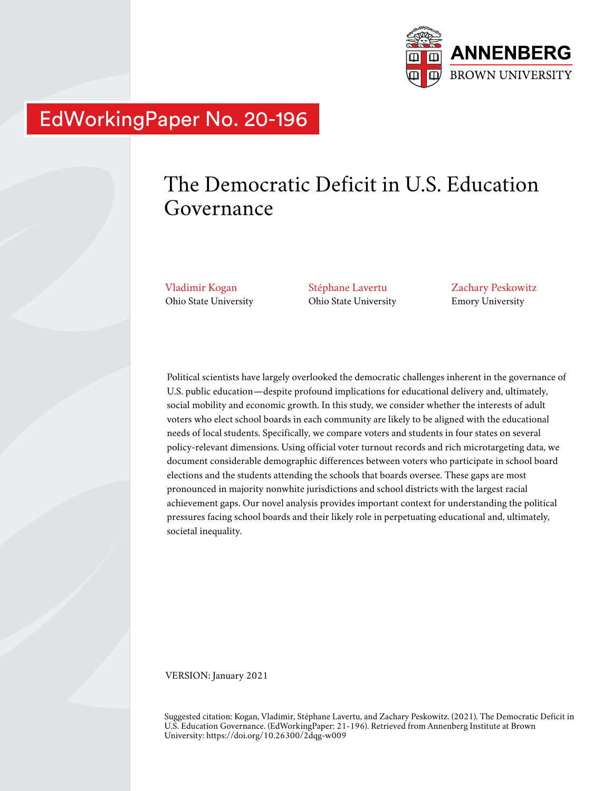

# EdWorkingPaper No. 20-196

# The Democratic Deficit in U.S. Education Governance

Vladimir Kogan Ohio State University Stéphane Lavertu Ohio State University Zachary Peskowitz Emory University

Political scientists have largely overlooked the democratic challenges inherent in the governance of U.S. public education—despite profound implications for educational delivery and, ultimately, social mobility and economic growth. In this study, we consider whether the interests of adult voters who elect school boards in each community are likely to be aligned with the educational needs of local students. Specifically, we compare voters and students in four states on several policy-relevant dimensions. Using official voter turnout records and rich microtargeting data, we document considerable demographic differences between voters who participate in school board elections and the students attending the schools that boards oversee. These gaps are most pronounced in majority nonwhite jurisdictions and school districts with the largest racial achievement gaps. Our novel analysis provides important context for understanding the political pressures facing school boards and their likely role in perpetuating educational and, ultimately, societal inequality.

VERSION: January 2021

Suggested citation: Kogan, Vladimir, Stéphane Lavertu, and Zachary Peskowitz. (2021). The Democratic Deficit in U.S. Education Governance. (EdWorkingPaper: 21-196). Retrieved from Annenberg Institute at Brown University: https://doi.org/10.26300/2dqg-w009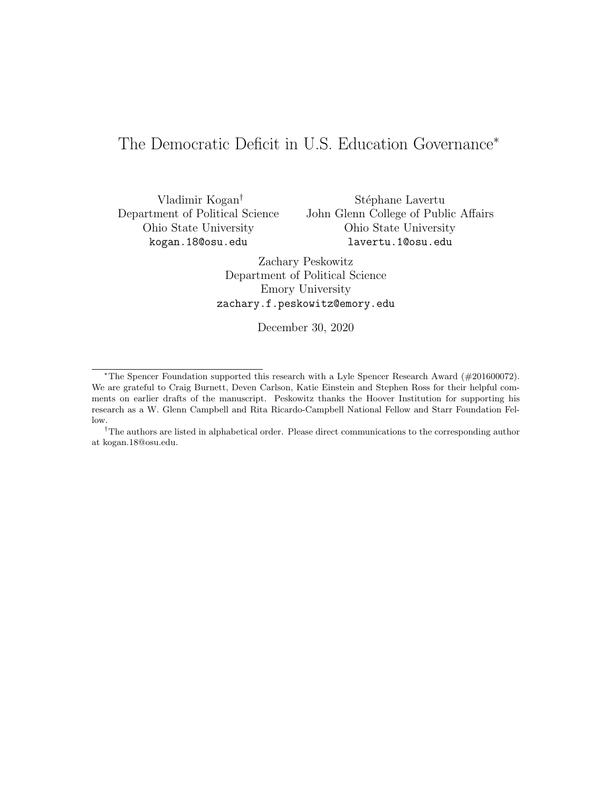# The Democratic Deficit in U.S. Education Governance<sup>∗</sup>

Vladimir Kogan† Department of Political Science Ohio State University kogan.18@osu.edu

Stéphane Lavertu John Glenn College of Public Affairs Ohio State University lavertu.1@osu.edu

Zachary Peskowitz Department of Political Science Emory University zachary.f.peskowitz@emory.edu

December 30, 2020

<sup>∗</sup>The Spencer Foundation supported this research with a Lyle Spencer Research Award (#201600072). We are grateful to Craig Burnett, Deven Carlson, Katie Einstein and Stephen Ross for their helpful comments on earlier drafts of the manuscript. Peskowitz thanks the Hoover Institution for supporting his research as a W. Glenn Campbell and Rita Ricardo-Campbell National Fellow and Starr Foundation Fellow.

<sup>†</sup>The authors are listed in alphabetical order. Please direct communications to the corresponding author at kogan.18@osu.edu.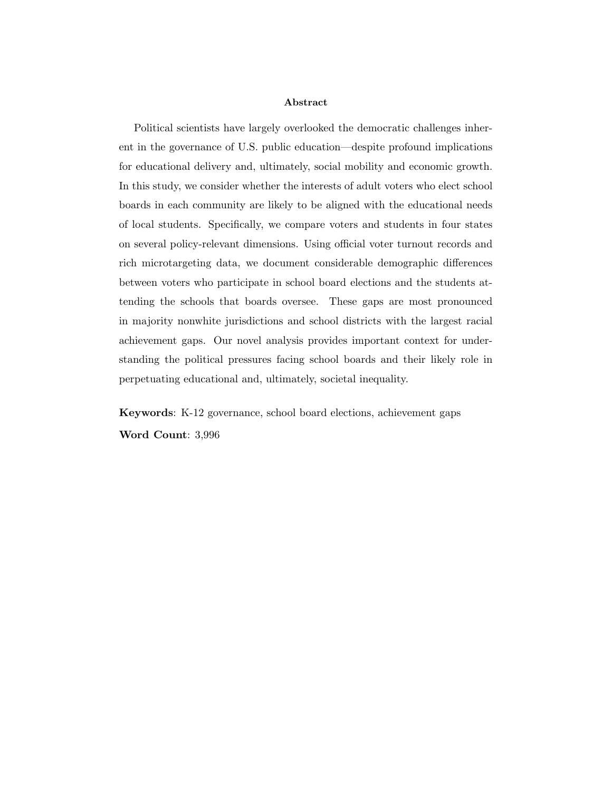#### Abstract

Political scientists have largely overlooked the democratic challenges inherent in the governance of U.S. public education—despite profound implications for educational delivery and, ultimately, social mobility and economic growth. In this study, we consider whether the interests of adult voters who elect school boards in each community are likely to be aligned with the educational needs of local students. Specifically, we compare voters and students in four states on several policy-relevant dimensions. Using official voter turnout records and rich microtargeting data, we document considerable demographic differences between voters who participate in school board elections and the students attending the schools that boards oversee. These gaps are most pronounced in majority nonwhite jurisdictions and school districts with the largest racial achievement gaps. Our novel analysis provides important context for understanding the political pressures facing school boards and their likely role in perpetuating educational and, ultimately, societal inequality.

Keywords: K-12 governance, school board elections, achievement gaps Word Count: 3,996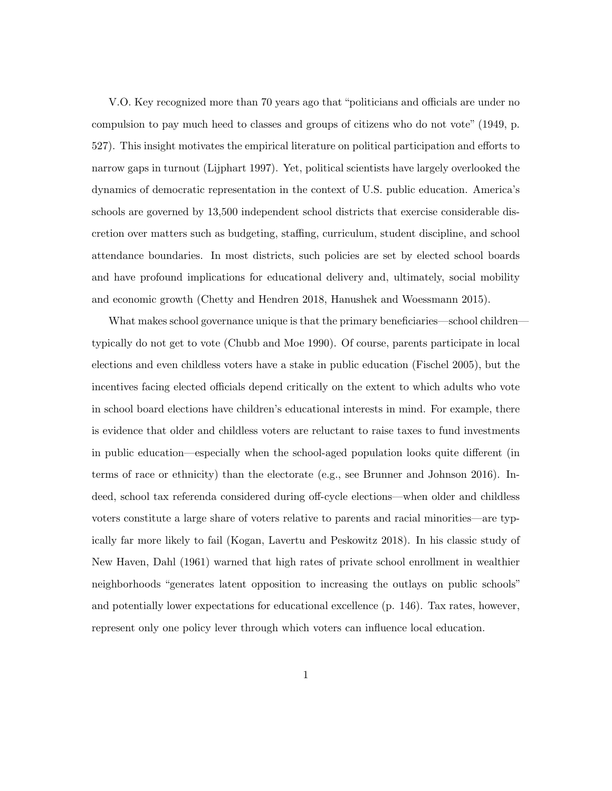V.O. Key recognized more than 70 years ago that "politicians and officials are under no compulsion to pay much heed to classes and groups of citizens who do not vote" (1949, p. 527). This insight motivates the empirical literature on political participation and efforts to narrow gaps in turnout (Lijphart 1997). Yet, political scientists have largely overlooked the dynamics of democratic representation in the context of U.S. public education. America's schools are governed by 13,500 independent school districts that exercise considerable discretion over matters such as budgeting, staffing, curriculum, student discipline, and school attendance boundaries. In most districts, such policies are set by elected school boards and have profound implications for educational delivery and, ultimately, social mobility and economic growth (Chetty and Hendren 2018, Hanushek and Woessmann 2015).

What makes school governance unique is that the primary beneficiaries—school children typically do not get to vote (Chubb and Moe 1990). Of course, parents participate in local elections and even childless voters have a stake in public education (Fischel 2005), but the incentives facing elected officials depend critically on the extent to which adults who vote in school board elections have children's educational interests in mind. For example, there is evidence that older and childless voters are reluctant to raise taxes to fund investments in public education—especially when the school-aged population looks quite different (in terms of race or ethnicity) than the electorate (e.g., see Brunner and Johnson 2016). Indeed, school tax referenda considered during off-cycle elections—when older and childless voters constitute a large share of voters relative to parents and racial minorities—are typically far more likely to fail (Kogan, Lavertu and Peskowitz 2018). In his classic study of New Haven, Dahl (1961) warned that high rates of private school enrollment in wealthier neighborhoods "generates latent opposition to increasing the outlays on public schools" and potentially lower expectations for educational excellence (p. 146). Tax rates, however, represent only one policy lever through which voters can influence local education.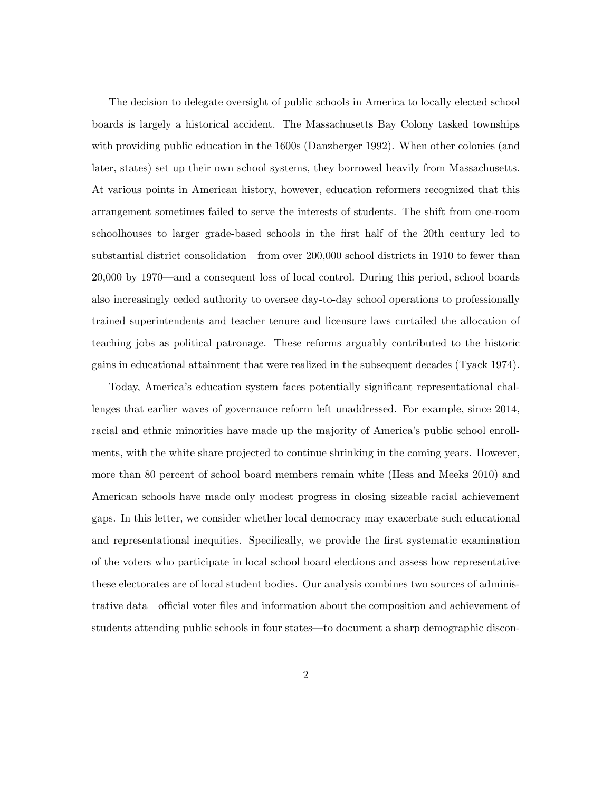The decision to delegate oversight of public schools in America to locally elected school boards is largely a historical accident. The Massachusetts Bay Colony tasked townships with providing public education in the 1600s (Danzberger 1992). When other colonies (and later, states) set up their own school systems, they borrowed heavily from Massachusetts. At various points in American history, however, education reformers recognized that this arrangement sometimes failed to serve the interests of students. The shift from one-room schoolhouses to larger grade-based schools in the first half of the 20th century led to substantial district consolidation—from over 200,000 school districts in 1910 to fewer than 20,000 by 1970—and a consequent loss of local control. During this period, school boards also increasingly ceded authority to oversee day-to-day school operations to professionally trained superintendents and teacher tenure and licensure laws curtailed the allocation of teaching jobs as political patronage. These reforms arguably contributed to the historic gains in educational attainment that were realized in the subsequent decades (Tyack 1974).

Today, America's education system faces potentially significant representational challenges that earlier waves of governance reform left unaddressed. For example, since 2014, racial and ethnic minorities have made up the majority of America's public school enrollments, with the white share projected to continue shrinking in the coming years. However, more than 80 percent of school board members remain white (Hess and Meeks 2010) and American schools have made only modest progress in closing sizeable racial achievement gaps. In this letter, we consider whether local democracy may exacerbate such educational and representational inequities. Specifically, we provide the first systematic examination of the voters who participate in local school board elections and assess how representative these electorates are of local student bodies. Our analysis combines two sources of administrative data—official voter files and information about the composition and achievement of students attending public schools in four states—to document a sharp demographic discon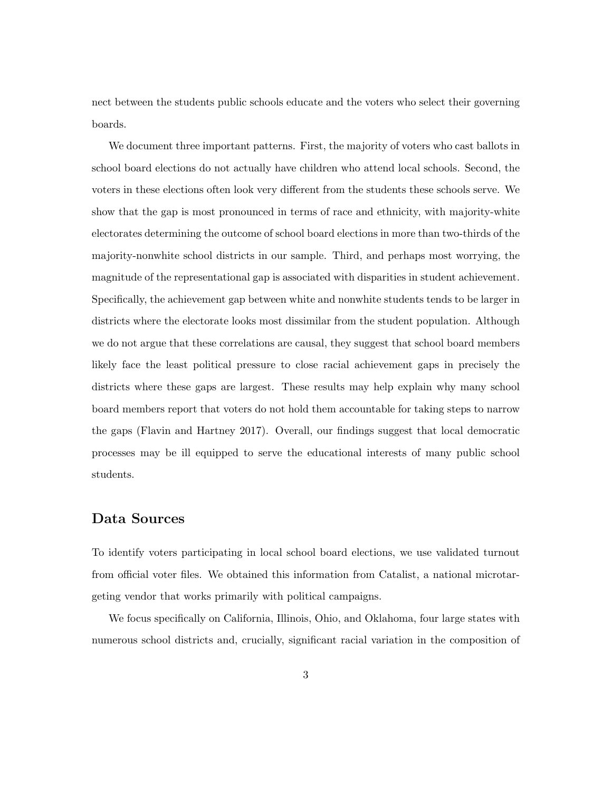nect between the students public schools educate and the voters who select their governing boards.

We document three important patterns. First, the majority of voters who cast ballots in school board elections do not actually have children who attend local schools. Second, the voters in these elections often look very different from the students these schools serve. We show that the gap is most pronounced in terms of race and ethnicity, with majority-white electorates determining the outcome of school board elections in more than two-thirds of the majority-nonwhite school districts in our sample. Third, and perhaps most worrying, the magnitude of the representational gap is associated with disparities in student achievement. Specifically, the achievement gap between white and nonwhite students tends to be larger in districts where the electorate looks most dissimilar from the student population. Although we do not argue that these correlations are causal, they suggest that school board members likely face the least political pressure to close racial achievement gaps in precisely the districts where these gaps are largest. These results may help explain why many school board members report that voters do not hold them accountable for taking steps to narrow the gaps (Flavin and Hartney 2017). Overall, our findings suggest that local democratic processes may be ill equipped to serve the educational interests of many public school students.

### Data Sources

To identify voters participating in local school board elections, we use validated turnout from official voter files. We obtained this information from Catalist, a national microtargeting vendor that works primarily with political campaigns.

We focus specifically on California, Illinois, Ohio, and Oklahoma, four large states with numerous school districts and, crucially, significant racial variation in the composition of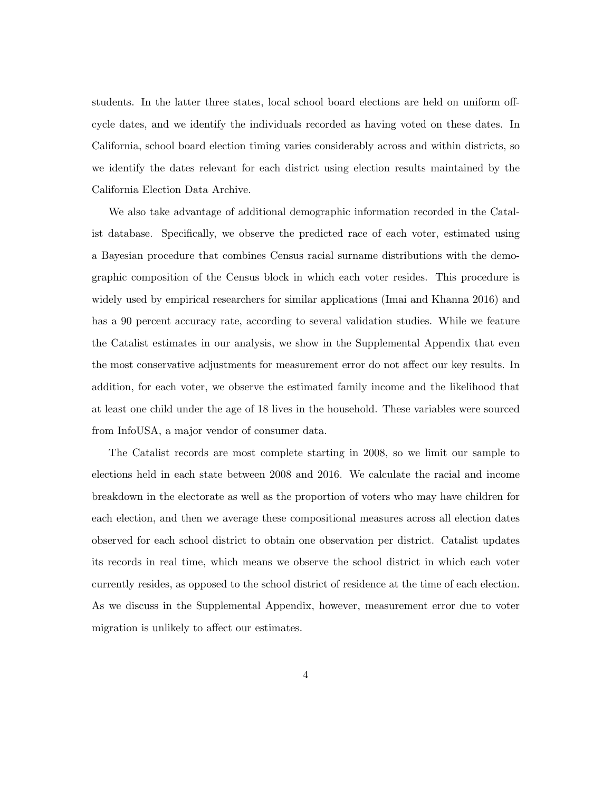students. In the latter three states, local school board elections are held on uniform offcycle dates, and we identify the individuals recorded as having voted on these dates. In California, school board election timing varies considerably across and within districts, so we identify the dates relevant for each district using election results maintained by the California Election Data Archive.

We also take advantage of additional demographic information recorded in the Catalist database. Specifically, we observe the predicted race of each voter, estimated using a Bayesian procedure that combines Census racial surname distributions with the demographic composition of the Census block in which each voter resides. This procedure is widely used by empirical researchers for similar applications (Imai and Khanna 2016) and has a 90 percent accuracy rate, according to several validation studies. While we feature the Catalist estimates in our analysis, we show in the Supplemental Appendix that even the most conservative adjustments for measurement error do not affect our key results. In addition, for each voter, we observe the estimated family income and the likelihood that at least one child under the age of 18 lives in the household. These variables were sourced from InfoUSA, a major vendor of consumer data.

The Catalist records are most complete starting in 2008, so we limit our sample to elections held in each state between 2008 and 2016. We calculate the racial and income breakdown in the electorate as well as the proportion of voters who may have children for each election, and then we average these compositional measures across all election dates observed for each school district to obtain one observation per district. Catalist updates its records in real time, which means we observe the school district in which each voter currently resides, as opposed to the school district of residence at the time of each election. As we discuss in the Supplemental Appendix, however, measurement error due to voter migration is unlikely to affect our estimates.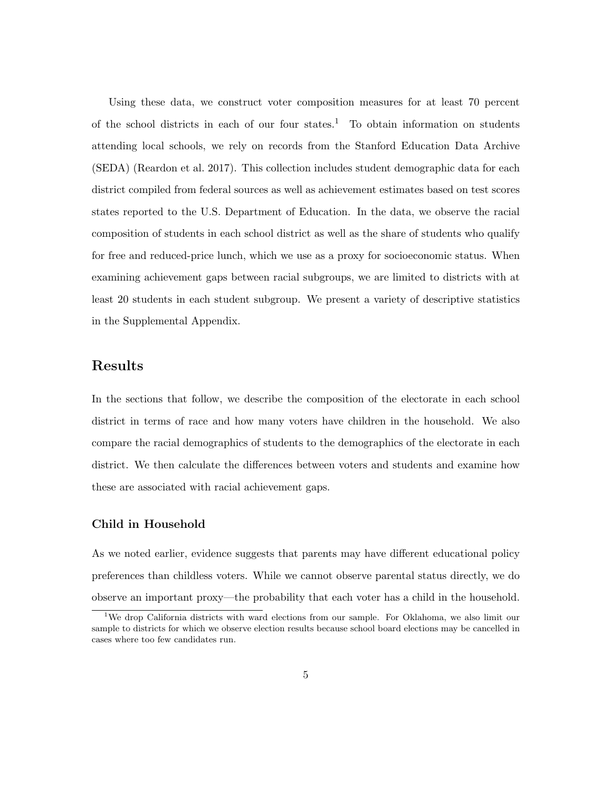Using these data, we construct voter composition measures for at least 70 percent of the school districts in each of our four states.<sup>1</sup> To obtain information on students attending local schools, we rely on records from the Stanford Education Data Archive (SEDA) (Reardon et al. 2017). This collection includes student demographic data for each district compiled from federal sources as well as achievement estimates based on test scores states reported to the U.S. Department of Education. In the data, we observe the racial composition of students in each school district as well as the share of students who qualify for free and reduced-price lunch, which we use as a proxy for socioeconomic status. When examining achievement gaps between racial subgroups, we are limited to districts with at least 20 students in each student subgroup. We present a variety of descriptive statistics in the Supplemental Appendix.

### Results

In the sections that follow, we describe the composition of the electorate in each school district in terms of race and how many voters have children in the household. We also compare the racial demographics of students to the demographics of the electorate in each district. We then calculate the differences between voters and students and examine how these are associated with racial achievement gaps.

#### Child in Household

As we noted earlier, evidence suggests that parents may have different educational policy preferences than childless voters. While we cannot observe parental status directly, we do observe an important proxy—the probability that each voter has a child in the household.

<sup>&</sup>lt;sup>1</sup>We drop California districts with ward elections from our sample. For Oklahoma, we also limit our sample to districts for which we observe election results because school board elections may be cancelled in cases where too few candidates run.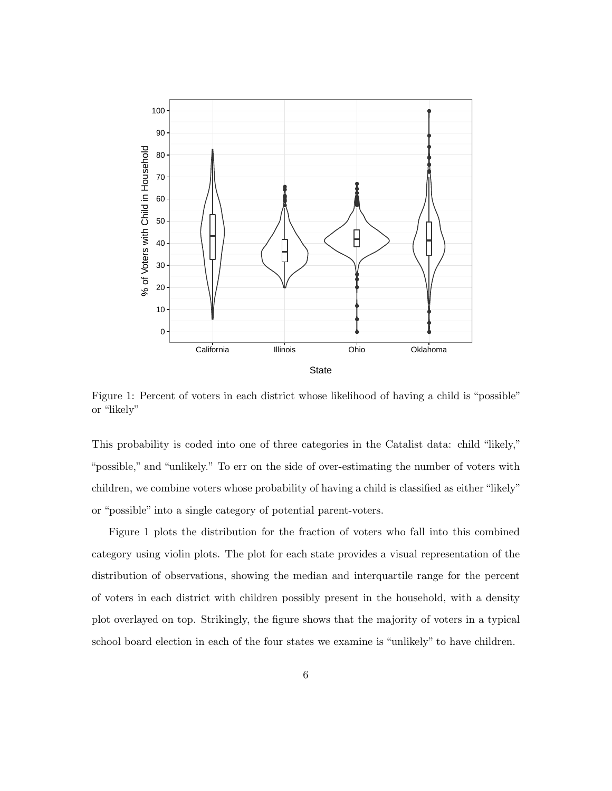

Figure 1: Percent of voters in each district whose likelihood of having a child is "possible" or "likely"

This probability is coded into one of three categories in the Catalist data: child "likely," "possible," and "unlikely." To err on the side of over-estimating the number of voters with children, we combine voters whose probability of having a child is classified as either "likely" or "possible" into a single category of potential parent-voters.

Figure 1 plots the distribution for the fraction of voters who fall into this combined category using violin plots. The plot for each state provides a visual representation of the distribution of observations, showing the median and interquartile range for the percent of voters in each district with children possibly present in the household, with a density plot overlayed on top. Strikingly, the figure shows that the majority of voters in a typical school board election in each of the four states we examine is "unlikely" to have children.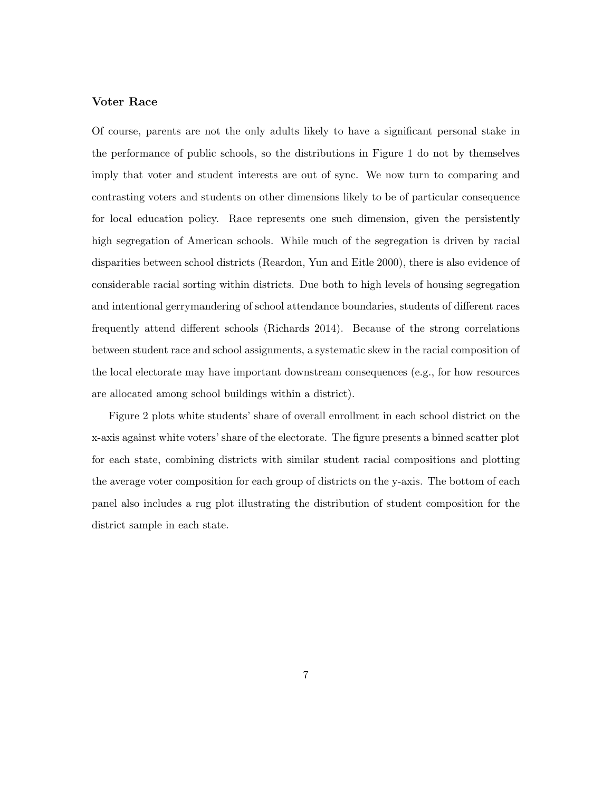#### Voter Race

Of course, parents are not the only adults likely to have a significant personal stake in the performance of public schools, so the distributions in Figure 1 do not by themselves imply that voter and student interests are out of sync. We now turn to comparing and contrasting voters and students on other dimensions likely to be of particular consequence for local education policy. Race represents one such dimension, given the persistently high segregation of American schools. While much of the segregation is driven by racial disparities between school districts (Reardon, Yun and Eitle 2000), there is also evidence of considerable racial sorting within districts. Due both to high levels of housing segregation and intentional gerrymandering of school attendance boundaries, students of different races frequently attend different schools (Richards 2014). Because of the strong correlations between student race and school assignments, a systematic skew in the racial composition of the local electorate may have important downstream consequences (e.g., for how resources are allocated among school buildings within a district).

Figure 2 plots white students' share of overall enrollment in each school district on the x-axis against white voters' share of the electorate. The figure presents a binned scatter plot for each state, combining districts with similar student racial compositions and plotting the average voter composition for each group of districts on the y-axis. The bottom of each panel also includes a rug plot illustrating the distribution of student composition for the district sample in each state.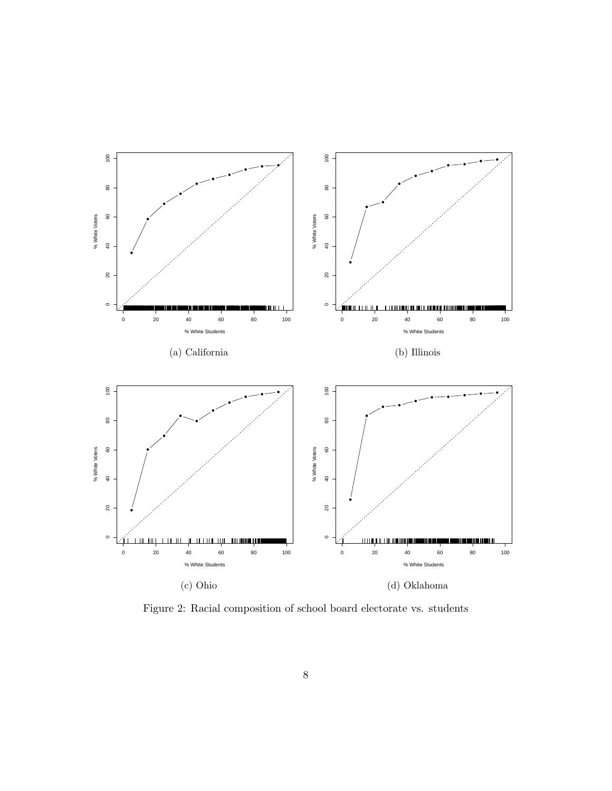

Figure 2: Racial composition of school board electorate vs. students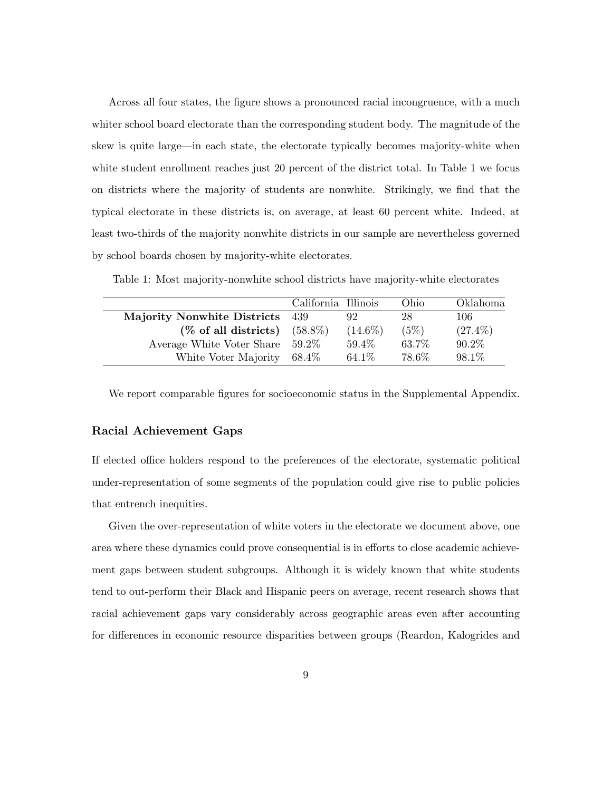Across all four states, the figure shows a pronounced racial incongruence, with a much whiter school board electorate than the corresponding student body. The magnitude of the skew is quite large—in each state, the electorate typically becomes majority-white when white student enrollment reaches just 20 percent of the district total. In Table 1 we focus on districts where the majority of students are nonwhite. Strikingly, we find that the typical electorate in these districts is, on average, at least 60 percent white. Indeed, at least two-thirds of the majority nonwhite districts in our sample are nevertheless governed by school boards chosen by majority-white electorates.

|                                    | California Illinois |            | Ohio  | Oklahoma   |
|------------------------------------|---------------------|------------|-------|------------|
| <b>Majority Nonwhite Districts</b> | -439                | 92         | 28    | 106        |
| $(\%$ of all districts)            | $(58.8\%)$          | $(14.6\%)$ | (5%)  | $(27.4\%)$ |
| Average White Voter Share          | $59.2\%$            | 59.4%      | 63.7% | $90.2\%$   |
| White Voter Majority               | $68.4\%$            | 64.1%      | 78.6% | 98.1%      |

Table 1: Most majority-nonwhite school districts have majority-white electorates

We report comparable figures for socioeconomic status in the Supplemental Appendix.

#### Racial Achievement Gaps

If elected office holders respond to the preferences of the electorate, systematic political under-representation of some segments of the population could give rise to public policies that entrench inequities.

Given the over-representation of white voters in the electorate we document above, one area where these dynamics could prove consequential is in efforts to close academic achievement gaps between student subgroups. Although it is widely known that white students tend to out-perform their Black and Hispanic peers on average, recent research shows that racial achievement gaps vary considerably across geographic areas even after accounting for differences in economic resource disparities between groups (Reardon, Kalogrides and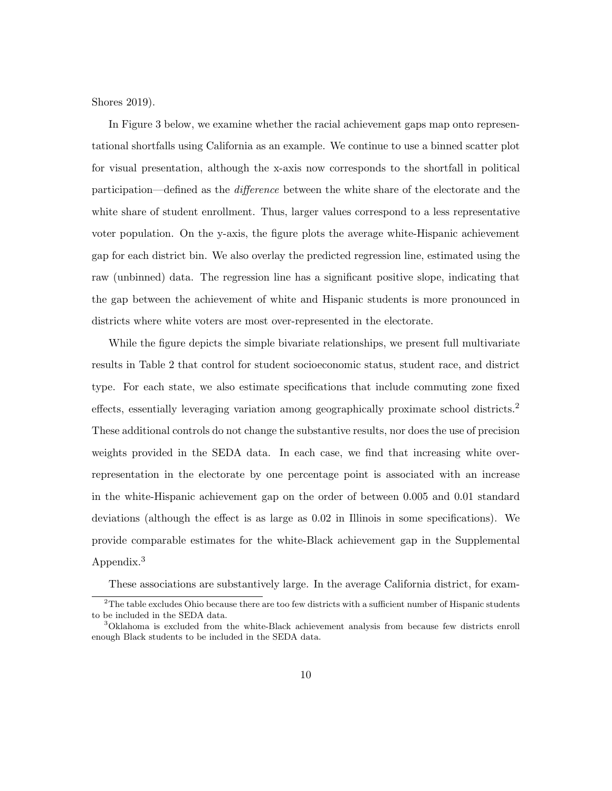Shores 2019).

In Figure 3 below, we examine whether the racial achievement gaps map onto representational shortfalls using California as an example. We continue to use a binned scatter plot for visual presentation, although the x-axis now corresponds to the shortfall in political participation—defined as the difference between the white share of the electorate and the white share of student enrollment. Thus, larger values correspond to a less representative voter population. On the y-axis, the figure plots the average white-Hispanic achievement gap for each district bin. We also overlay the predicted regression line, estimated using the raw (unbinned) data. The regression line has a significant positive slope, indicating that the gap between the achievement of white and Hispanic students is more pronounced in districts where white voters are most over-represented in the electorate.

While the figure depicts the simple bivariate relationships, we present full multivariate results in Table 2 that control for student socioeconomic status, student race, and district type. For each state, we also estimate specifications that include commuting zone fixed effects, essentially leveraging variation among geographically proximate school districts.<sup>2</sup> These additional controls do not change the substantive results, nor does the use of precision weights provided in the SEDA data. In each case, we find that increasing white overrepresentation in the electorate by one percentage point is associated with an increase in the white-Hispanic achievement gap on the order of between 0.005 and 0.01 standard deviations (although the effect is as large as 0.02 in Illinois in some specifications). We provide comparable estimates for the white-Black achievement gap in the Supplemental Appendix.<sup>3</sup>

These associations are substantively large. In the average California district, for exam-

 $2$ The table excludes Ohio because there are too few districts with a sufficient number of Hispanic students to be included in the SEDA data.

<sup>3</sup>Oklahoma is excluded from the white-Black achievement analysis from because few districts enroll enough Black students to be included in the SEDA data.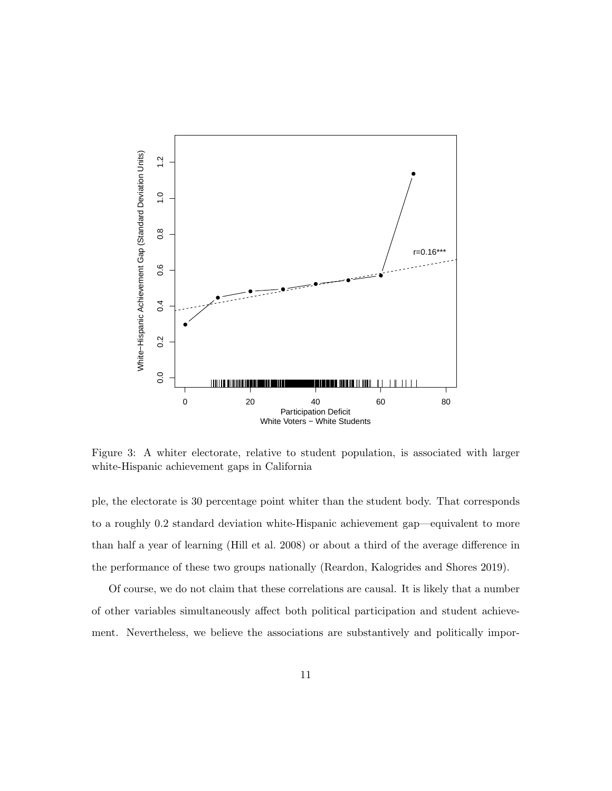

Figure 3: A whiter electorate, relative to student population, is associated with larger white-Hispanic achievement gaps in California

ple, the electorate is 30 percentage point whiter than the student body. That corresponds to a roughly 0.2 standard deviation white-Hispanic achievement gap—equivalent to more than half a year of learning (Hill et al. 2008) or about a third of the average difference in the performance of these two groups nationally (Reardon, Kalogrides and Shores 2019).

Of course, we do not claim that these correlations are causal. It is likely that a number of other variables simultaneously affect both political participation and student achievement. Nevertheless, we believe the associations are substantively and politically impor-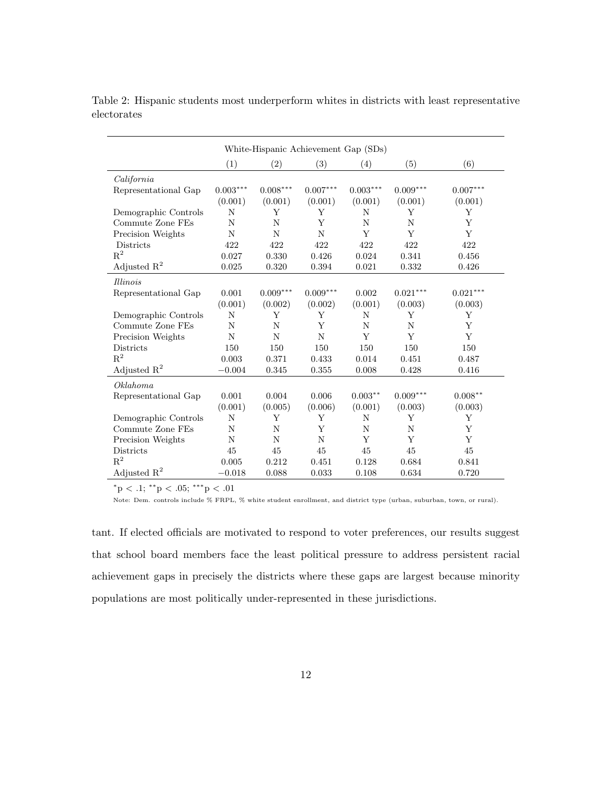| White-Hispanic Achievement Gap (SDs) |            |            |             |            |            |            |
|--------------------------------------|------------|------------|-------------|------------|------------|------------|
|                                      | (1)        | (2)        | (3)         | (4)        | (5)        | (6)        |
| California                           |            |            |             |            |            |            |
| Representational Gap                 | $0.003***$ | $0.008***$ | $0.007***$  | $0.003***$ | $0.009***$ | $0.007***$ |
|                                      | (0.001)    | (0.001)    | (0.001)     | (0.001)    | (0.001)    | (0.001)    |
| Demographic Controls                 | N          | Y          | Υ           | N          | Υ          | Y          |
| Commute Zone FEs                     | N          | N          | Y           | N          | N          | Y          |
| Precision Weights                    | N          | N          | N           | Y          | Y          | Y          |
| Districts                            | 422        | 422        | 422         | 422        | 422        | 422        |
| $\mathbf{R}^2$                       | 0.027      | 0.330      | 0.426       | 0.024      | 0.341      | 0.456      |
| Adjusted $R^2$                       | 0.025      | 0.320      | 0.394       | 0.021      | 0.332      | 0.426      |
| <i>Illinois</i>                      |            |            |             |            |            |            |
| Representational Gap                 | 0.001      | $0.009***$ | $0.009***$  | 0.002      | $0.021***$ | $0.021***$ |
|                                      | (0.001)    | (0.002)    | (0.002)     | (0.001)    | (0.003)    | (0.003)    |
| Demographic Controls                 | N          | Y          | Υ           | N          | Y          | Y          |
| Commute Zone FEs                     | N          | N          | Y           | N          | N          | Y          |
| Precision Weights                    | N          | N          | N           | Y          | Y          | Y          |
| <b>Districts</b>                     | 150        | 150        | 150         | 150        | 150        | 150        |
| $\mathbf{R}^2$                       | 0.003      | 0.371      | 0.433       | 0.014      | 0.451      | 0.487      |
| Adjusted $R^2$                       | $-0.004$   | 0.345      | 0.355       | 0.008      | 0.428      | 0.416      |
| Oklahoma                             |            |            |             |            |            |            |
| Representational Gap                 | 0.001      | 0.004      | 0.006       | $0.003***$ | $0.009***$ | $0.008**$  |
|                                      | (0.001)    | (0.005)    | (0.006)     | (0.001)    | (0.003)    | (0.003)    |
| Demographic Controls                 | N          | Y          | Υ           | N          | Y          | Y          |
| Commute Zone FEs                     | N          | N          | Y           | N          | N          | Y          |
| Precision Weights                    | N          | N          | $\mathbf N$ | Y          | Y          | Y          |
| <b>Districts</b>                     | 45         | 45         | 45          | 45         | 45         | 45         |
| $R^2$                                | 0.005      | 0.212      | 0.451       | 0.128      | 0.684      | 0.841      |
| Adjusted $R^2$                       | $-0.018$   | 0.088      | 0.033       | 0.108      | 0.634      | 0.720      |

Table 2: Hispanic students most underperform whites in districts with least representative electorates

 $^*{\rm p}$  < .1;  $^{**}{\rm p}$  < .05;  $^{***}{\rm p}$  < .01

Note: Dem. controls include % FRPL, % white student enrollment, and district type (urban, suburban, town, or rural).

tant. If elected officials are motivated to respond to voter preferences, our results suggest that school board members face the least political pressure to address persistent racial achievement gaps in precisely the districts where these gaps are largest because minority populations are most politically under-represented in these jurisdictions.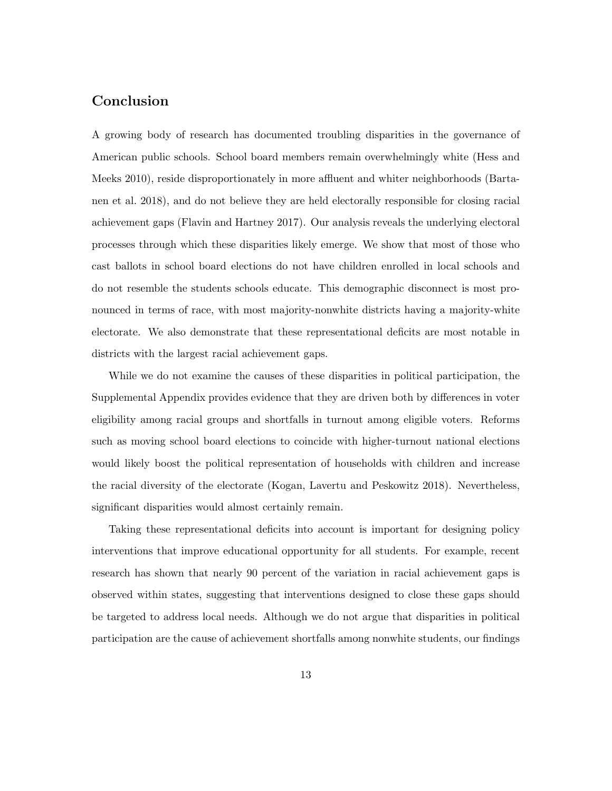### Conclusion

A growing body of research has documented troubling disparities in the governance of American public schools. School board members remain overwhelmingly white (Hess and Meeks 2010), reside disproportionately in more affluent and whiter neighborhoods (Bartanen et al. 2018), and do not believe they are held electorally responsible for closing racial achievement gaps (Flavin and Hartney 2017). Our analysis reveals the underlying electoral processes through which these disparities likely emerge. We show that most of those who cast ballots in school board elections do not have children enrolled in local schools and do not resemble the students schools educate. This demographic disconnect is most pronounced in terms of race, with most majority-nonwhite districts having a majority-white electorate. We also demonstrate that these representational deficits are most notable in districts with the largest racial achievement gaps.

While we do not examine the causes of these disparities in political participation, the Supplemental Appendix provides evidence that they are driven both by differences in voter eligibility among racial groups and shortfalls in turnout among eligible voters. Reforms such as moving school board elections to coincide with higher-turnout national elections would likely boost the political representation of households with children and increase the racial diversity of the electorate (Kogan, Lavertu and Peskowitz 2018). Nevertheless, significant disparities would almost certainly remain.

Taking these representational deficits into account is important for designing policy interventions that improve educational opportunity for all students. For example, recent research has shown that nearly 90 percent of the variation in racial achievement gaps is observed within states, suggesting that interventions designed to close these gaps should be targeted to address local needs. Although we do not argue that disparities in political participation are the cause of achievement shortfalls among nonwhite students, our findings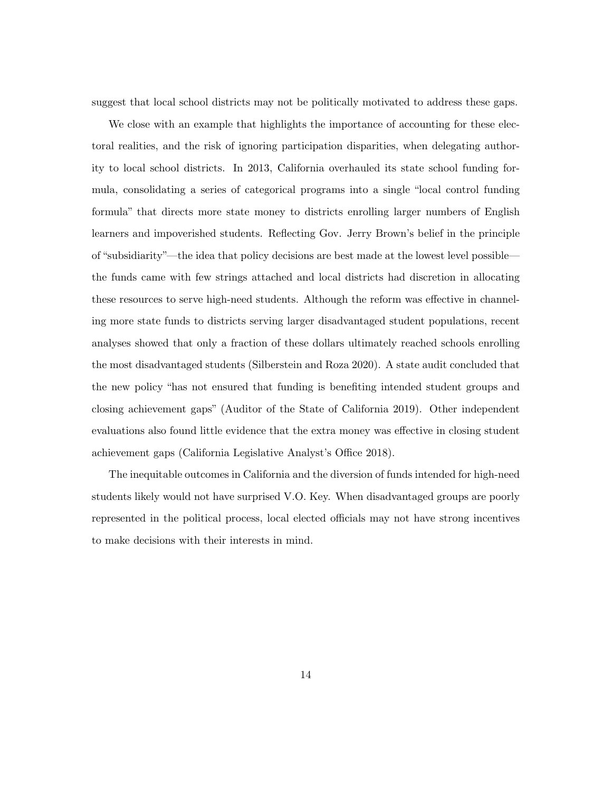suggest that local school districts may not be politically motivated to address these gaps.

We close with an example that highlights the importance of accounting for these electoral realities, and the risk of ignoring participation disparities, when delegating authority to local school districts. In 2013, California overhauled its state school funding formula, consolidating a series of categorical programs into a single "local control funding formula" that directs more state money to districts enrolling larger numbers of English learners and impoverished students. Reflecting Gov. Jerry Brown's belief in the principle of "subsidiarity"—the idea that policy decisions are best made at the lowest level possible the funds came with few strings attached and local districts had discretion in allocating these resources to serve high-need students. Although the reform was effective in channeling more state funds to districts serving larger disadvantaged student populations, recent analyses showed that only a fraction of these dollars ultimately reached schools enrolling the most disadvantaged students (Silberstein and Roza 2020). A state audit concluded that the new policy "has not ensured that funding is benefiting intended student groups and closing achievement gaps" (Auditor of the State of California 2019). Other independent evaluations also found little evidence that the extra money was effective in closing student achievement gaps (California Legislative Analyst's Office 2018).

The inequitable outcomes in California and the diversion of funds intended for high-need students likely would not have surprised V.O. Key. When disadvantaged groups are poorly represented in the political process, local elected officials may not have strong incentives to make decisions with their interests in mind.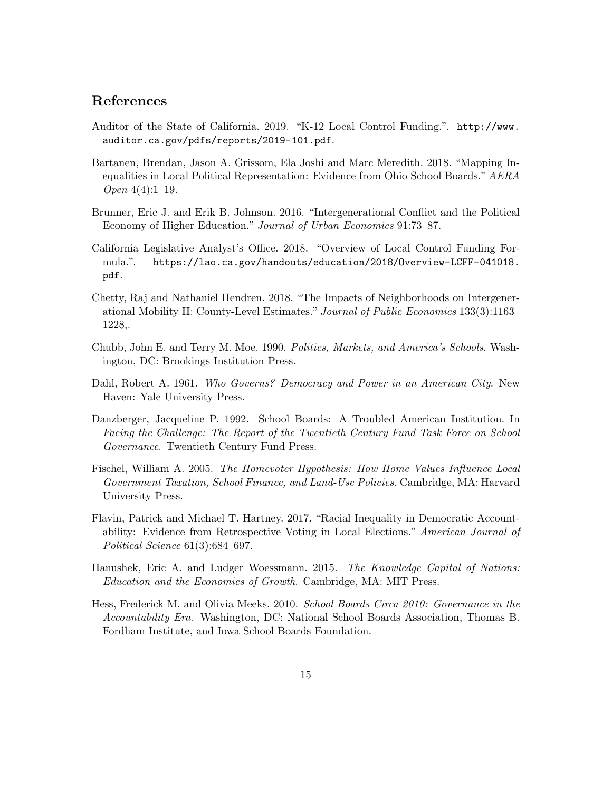### References

- Auditor of the State of California. 2019. "K-12 Local Control Funding.". http://www. auditor.ca.gov/pdfs/reports/2019-101.pdf.
- Bartanen, Brendan, Jason A. Grissom, Ela Joshi and Marc Meredith. 2018. "Mapping Inequalities in Local Political Representation: Evidence from Ohio School Boards." AERA Open 4(4):1–19.
- Brunner, Eric J. and Erik B. Johnson. 2016. "Intergenerational Conflict and the Political Economy of Higher Education." Journal of Urban Economics 91:73–87.
- California Legislative Analyst's Office. 2018. "Overview of Local Control Funding Formula.". https://lao.ca.gov/handouts/education/2018/Overview-LCFF-041018. pdf.
- Chetty, Raj and Nathaniel Hendren. 2018. "The Impacts of Neighborhoods on Intergenerational Mobility II: County-Level Estimates." Journal of Public Economics 133(3):1163– 1228,.
- Chubb, John E. and Terry M. Moe. 1990. Politics, Markets, and America's Schools. Washington, DC: Brookings Institution Press.
- Dahl, Robert A. 1961. Who Governs? Democracy and Power in an American City. New Haven: Yale University Press.
- Danzberger, Jacqueline P. 1992. School Boards: A Troubled American Institution. In Facing the Challenge: The Report of the Twentieth Century Fund Task Force on School Governance. Twentieth Century Fund Press.
- Fischel, William A. 2005. The Homevoter Hypothesis: How Home Values Influence Local Government Taxation, School Finance, and Land-Use Policies. Cambridge, MA: Harvard University Press.
- Flavin, Patrick and Michael T. Hartney. 2017. "Racial Inequality in Democratic Accountability: Evidence from Retrospective Voting in Local Elections." American Journal of Political Science 61(3):684–697.
- Hanushek, Eric A. and Ludger Woessmann. 2015. *The Knowledge Capital of Nations:* Education and the Economics of Growth. Cambridge, MA: MIT Press.
- Hess, Frederick M. and Olivia Meeks. 2010. School Boards Circa 2010: Governance in the Accountability Era. Washington, DC: National School Boards Association, Thomas B. Fordham Institute, and Iowa School Boards Foundation.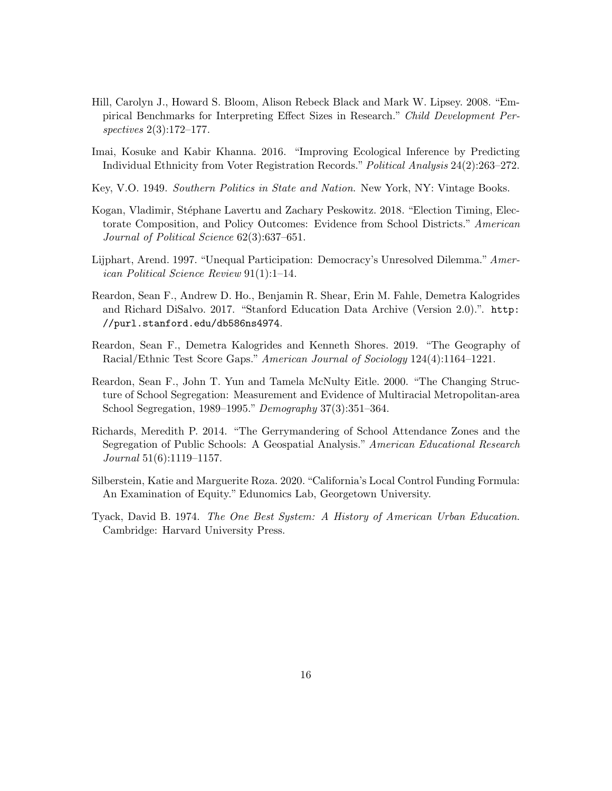- Hill, Carolyn J., Howard S. Bloom, Alison Rebeck Black and Mark W. Lipsey. 2008. "Empirical Benchmarks for Interpreting Effect Sizes in Research." Child Development Perspectives 2(3):172–177.
- Imai, Kosuke and Kabir Khanna. 2016. "Improving Ecological Inference by Predicting Individual Ethnicity from Voter Registration Records." Political Analysis 24(2):263–272.
- Key, V.O. 1949. Southern Politics in State and Nation. New York, NY: Vintage Books.
- Kogan, Vladimir, Stéphane Lavertu and Zachary Peskowitz. 2018. "Election Timing, Electorate Composition, and Policy Outcomes: Evidence from School Districts." American Journal of Political Science 62(3):637–651.
- Lijphart, Arend. 1997. "Unequal Participation: Democracy's Unresolved Dilemma." American Political Science Review 91(1):1–14.
- Reardon, Sean F., Andrew D. Ho., Benjamin R. Shear, Erin M. Fahle, Demetra Kalogrides and Richard DiSalvo. 2017. "Stanford Education Data Archive (Version 2.0).". http: //purl.stanford.edu/db586ns4974.
- Reardon, Sean F., Demetra Kalogrides and Kenneth Shores. 2019. "The Geography of Racial/Ethnic Test Score Gaps." American Journal of Sociology 124(4):1164–1221.
- Reardon, Sean F., John T. Yun and Tamela McNulty Eitle. 2000. "The Changing Structure of School Segregation: Measurement and Evidence of Multiracial Metropolitan-area School Segregation, 1989–1995." Demography 37(3):351–364.
- Richards, Meredith P. 2014. "The Gerrymandering of School Attendance Zones and the Segregation of Public Schools: A Geospatial Analysis." American Educational Research Journal 51(6):1119–1157.
- Silberstein, Katie and Marguerite Roza. 2020. "California's Local Control Funding Formula: An Examination of Equity." Edunomics Lab, Georgetown University.
- Tyack, David B. 1974. The One Best System: A History of American Urban Education. Cambridge: Harvard University Press.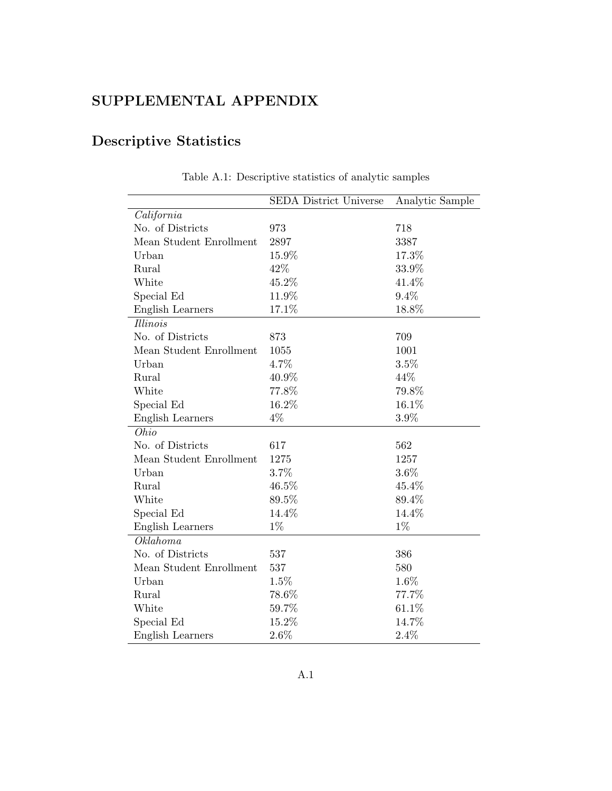### SUPPLEMENTAL APPENDIX

## Descriptive Statistics

|                         | <b>SEDA District Universe</b> | Analytic Sample |
|-------------------------|-------------------------------|-----------------|
| California              |                               |                 |
| No. of Districts        | 973                           | 718             |
| Mean Student Enrollment | 2897                          | 3387            |
| Urban                   | 15.9%                         | 17.3%           |
| Rural                   | 42%                           | 33.9%           |
| White                   | 45.2%                         | 41.4%           |
| Special Ed              | 11.9%                         | 9.4%            |
| English Learners        | 17.1%                         | 18.8%           |
| <i>Illinois</i>         |                               |                 |
| No. of Districts        | 873                           | 709             |
| Mean Student Enrollment | 1055                          | 1001            |
| Urban                   | 4.7%                          | 3.5%            |
| Rural                   | 40.9%                         | 44%             |
| White                   | 77.8%                         | 79.8%           |
| Special Ed              | 16.2%                         | 16.1%           |
| English Learners        | 4%                            | 3.9%            |
| Ohio                    |                               |                 |
| No. of Districts        | 617                           | 562             |
| Mean Student Enrollment | 1275                          | 1257            |
| Urban                   | 3.7%                          | $3.6\%$         |
| Rural                   | 46.5%                         | 45.4%           |
| White                   | 89.5%                         | 89.4%           |
| Special Ed              | 14.4%                         | 14.4%           |
| English Learners        | $1\%$                         | $1\%$           |
| Oklahoma                |                               |                 |
| No. of Districts        | 537                           | 386             |
| Mean Student Enrollment | 537                           | 580             |
| Urban                   | 1.5%                          | 1.6%            |
| Rural                   | 78.6%                         | 77.7%           |
| White                   | 59.7%                         | 61.1%           |
| Special Ed              | 15.2%                         | 14.7%           |
| English Learners        | $2.6\%$                       | 2.4%            |

Table A.1: Descriptive statistics of analytic samples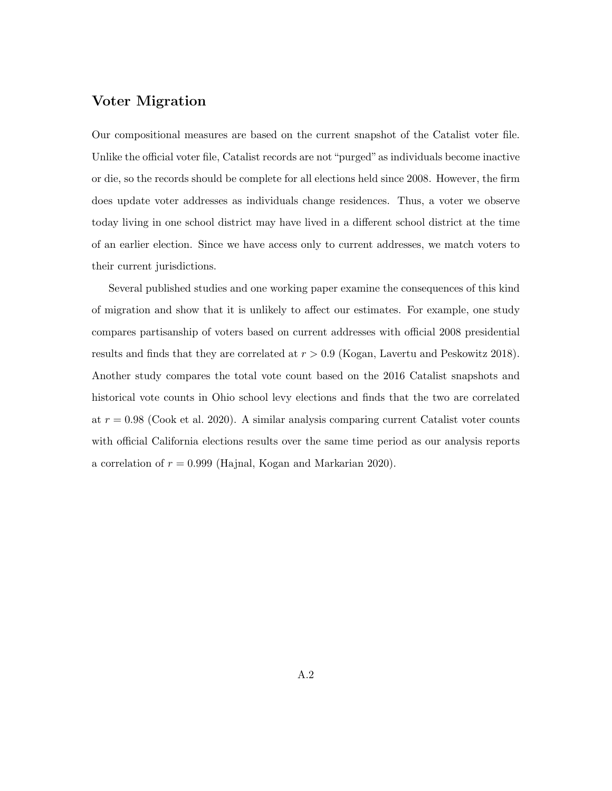### Voter Migration

Our compositional measures are based on the current snapshot of the Catalist voter file. Unlike the official voter file, Catalist records are not "purged" as individuals become inactive or die, so the records should be complete for all elections held since 2008. However, the firm does update voter addresses as individuals change residences. Thus, a voter we observe today living in one school district may have lived in a different school district at the time of an earlier election. Since we have access only to current addresses, we match voters to their current jurisdictions.

Several published studies and one working paper examine the consequences of this kind of migration and show that it is unlikely to affect our estimates. For example, one study compares partisanship of voters based on current addresses with official 2008 presidential results and finds that they are correlated at  $r > 0.9$  (Kogan, Lavertu and Peskowitz 2018). Another study compares the total vote count based on the 2016 Catalist snapshots and historical vote counts in Ohio school levy elections and finds that the two are correlated at  $r = 0.98$  (Cook et al. 2020). A similar analysis comparing current Catalist voter counts with official California elections results over the same time period as our analysis reports a correlation of  $r = 0.999$  (Hajnal, Kogan and Markarian 2020).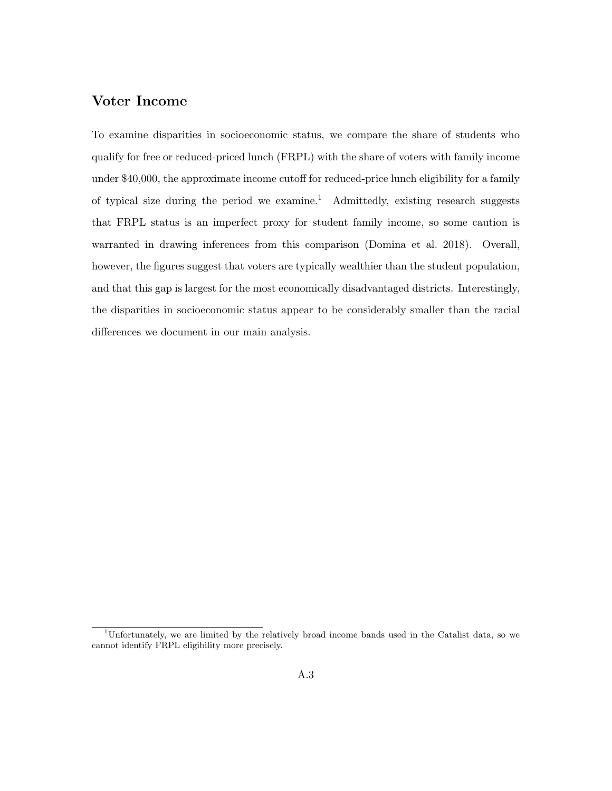### Voter Income

To examine disparities in socioeconomic status, we compare the share of students who qualify for free or reduced-priced lunch (FRPL) with the share of voters with family income under \$40,000, the approximate income cutoff for reduced-price lunch eligibility for a family of typical size during the period we examine.<sup>1</sup> Admittedly, existing research suggests that FRPL status is an imperfect proxy for student family income, so some caution is warranted in drawing inferences from this comparison (Domina et al. 2018). Overall, however, the figures suggest that voters are typically wealthier than the student population, and that this gap is largest for the most economically disadvantaged districts. Interestingly, the disparities in socioeconomic status appear to be considerably smaller than the racial differences we document in our main analysis.

 $1$ Unfortunately, we are limited by the relatively broad income bands used in the Catalist data, so we cannot identify FRPL eligibility more precisely.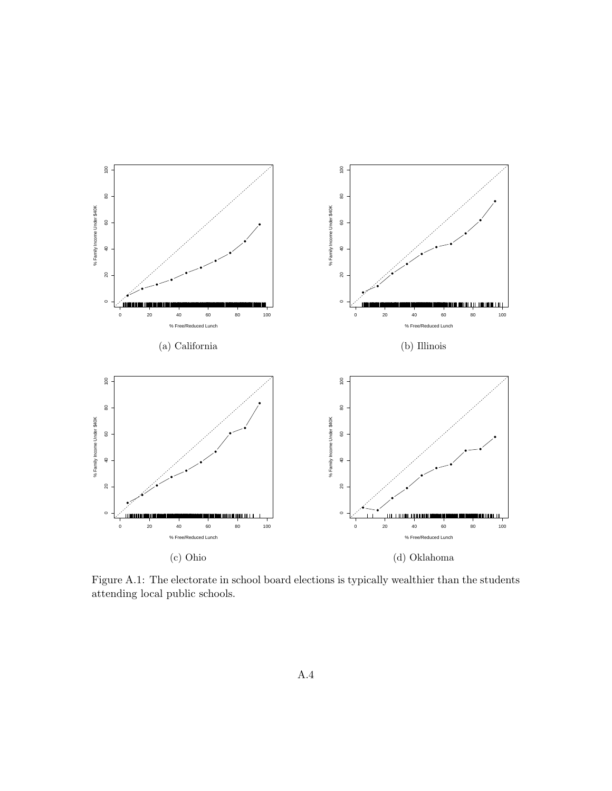

Figure A.1: The electorate in school board elections is typically wealthier than the students attending local public schools.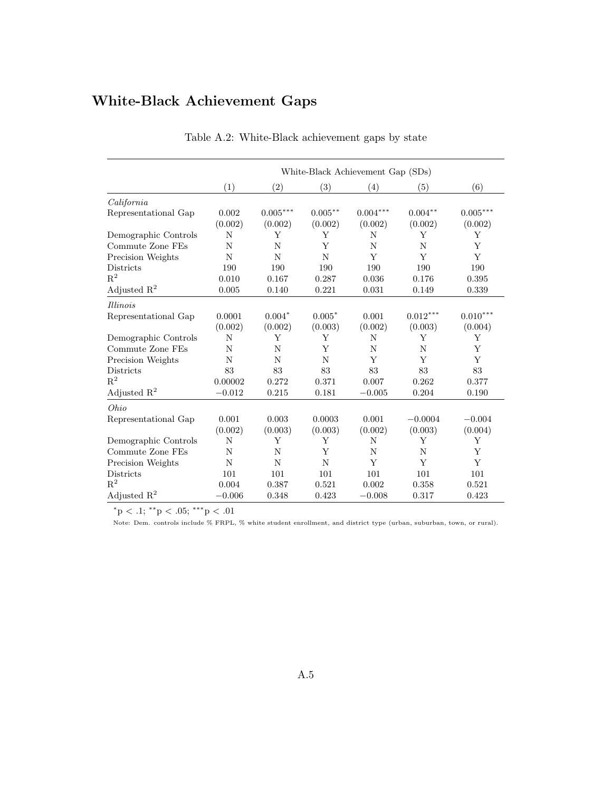## White-Black Achievement Gaps

|                      | White-Black Achievement Gap (SDs) |            |            |            |            |            |
|----------------------|-----------------------------------|------------|------------|------------|------------|------------|
|                      | (1)                               | (2)        | (3)        | (4)        | (5)        | (6)        |
| California           |                                   |            |            |            |            |            |
| Representational Gap | 0.002                             | $0.005***$ | $0.005***$ | $0.004***$ | $0.004**$  | $0.005***$ |
|                      | (0.002)                           | (0.002)    | (0.002)    | (0.002)    | (0.002)    | (0.002)    |
| Demographic Controls | N                                 | Υ          | Υ          | N          | Υ          | Υ          |
| Commute Zone FEs     | N                                 | N          | Y          | N          | N          | Y          |
| Precision Weights    | N                                 | N          | N          | Y          | Y          | Y          |
| Districts            | 190                               | 190        | 190        | 190        | 190        | 190        |
| $\mathbf{R}^2$       | 0.010                             | 0.167      | 0.287      | 0.036      | 0.176      | 0.395      |
| Adjusted $R^2$       | 0.005                             | 0.140      | 0.221      | 0.031      | 0.149      | 0.339      |
| <i>Illinois</i>      |                                   |            |            |            |            |            |
| Representational Gap | 0.0001                            | $0.004*$   | $0.005*$   | 0.001      | $0.012***$ | $0.010***$ |
|                      | (0.002)                           | (0.002)    | (0.003)    | (0.002)    | (0.003)    | (0.004)    |
| Demographic Controls | N                                 | Y          | Υ          | N          | Y          | Y          |
| Commute Zone FEs     | N                                 | N          | Y          | N          | N          | Y          |
| Precision Weights    | N                                 | N          | N          | Y          | Y          | Y          |
| <b>Districts</b>     | 83                                | 83         | 83         | 83         | 83         | 83         |
| $\mathbf{R}^2$       | 0.00002                           | 0.272      | 0.371      | 0.007      | 0.262      | 0.377      |
| Adjusted $R^2$       | $-0.012$                          | 0.215      | 0.181      | $-0.005$   | 0.204      | 0.190      |
| Ohio                 |                                   |            |            |            |            |            |
| Representational Gap | 0.001                             | 0.003      | 0.0003     | 0.001      | $-0.0004$  | $-0.004$   |
|                      | (0.002)                           | (0.003)    | (0.003)    | (0.002)    | (0.003)    | (0.004)    |
| Demographic Controls | N                                 | Υ          | Y          | N          | Y          | Υ          |
| Commute Zone FEs     | N                                 | N          | Y          | N          | N          | Υ          |
| Precision Weights    | N                                 | N          | N          | Y          | Y          | Y          |
| <b>Districts</b>     | 101                               | 101        | 101        | 101        | 101        | 101        |
| $\mathbf{R}^2$       | 0.004                             | 0.387      | 0.521      | 0.002      | 0.358      | 0.521      |
| Adjusted $R^2$       | $-0.006$                          | 0.348      | 0.423      | $-0.008$   | 0.317      | 0.423      |

|  | Table A.2: White-Black achievement gaps by state |  |  |  |  |
|--|--------------------------------------------------|--|--|--|--|
|--|--------------------------------------------------|--|--|--|--|

 $^*{\rm p}$  < .1;  $^{**}{\rm p}$  < .05;  $^{***}{\rm p}$  < .01

Note: Dem. controls include % FRPL, % white student enrollment, and district type (urban, suburban, town, or rural).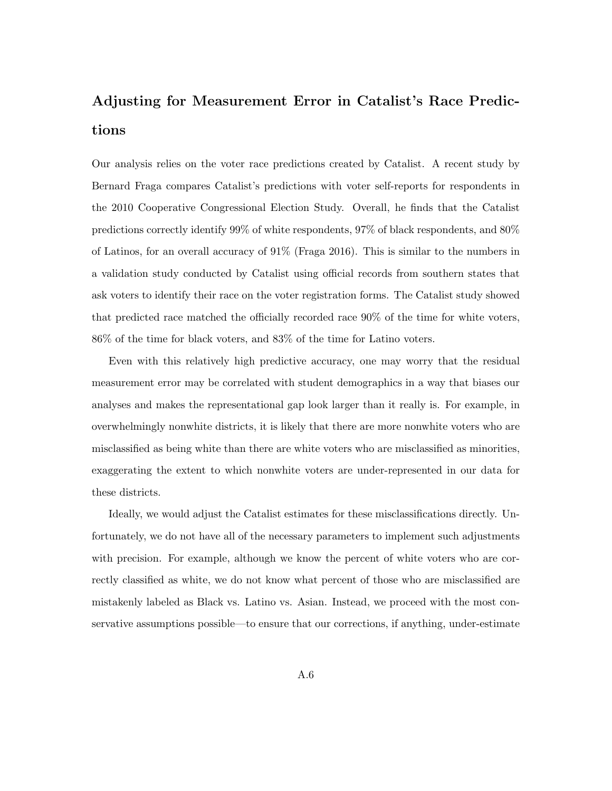# Adjusting for Measurement Error in Catalist's Race Predictions

Our analysis relies on the voter race predictions created by Catalist. A recent study by Bernard Fraga compares Catalist's predictions with voter self-reports for respondents in the 2010 Cooperative Congressional Election Study. Overall, he finds that the Catalist predictions correctly identify 99% of white respondents, 97% of black respondents, and 80% of Latinos, for an overall accuracy of 91% (Fraga 2016). This is similar to the numbers in a validation study conducted by Catalist using official records from southern states that ask voters to identify their race on the voter registration forms. The Catalist study showed that predicted race matched the officially recorded race 90% of the time for white voters, 86% of the time for black voters, and 83% of the time for Latino voters.

Even with this relatively high predictive accuracy, one may worry that the residual measurement error may be correlated with student demographics in a way that biases our analyses and makes the representational gap look larger than it really is. For example, in overwhelmingly nonwhite districts, it is likely that there are more nonwhite voters who are misclassified as being white than there are white voters who are misclassified as minorities, exaggerating the extent to which nonwhite voters are under-represented in our data for these districts.

Ideally, we would adjust the Catalist estimates for these misclassifications directly. Unfortunately, we do not have all of the necessary parameters to implement such adjustments with precision. For example, although we know the percent of white voters who are correctly classified as white, we do not know what percent of those who are misclassified are mistakenly labeled as Black vs. Latino vs. Asian. Instead, we proceed with the most conservative assumptions possible—to ensure that our corrections, if anything, under-estimate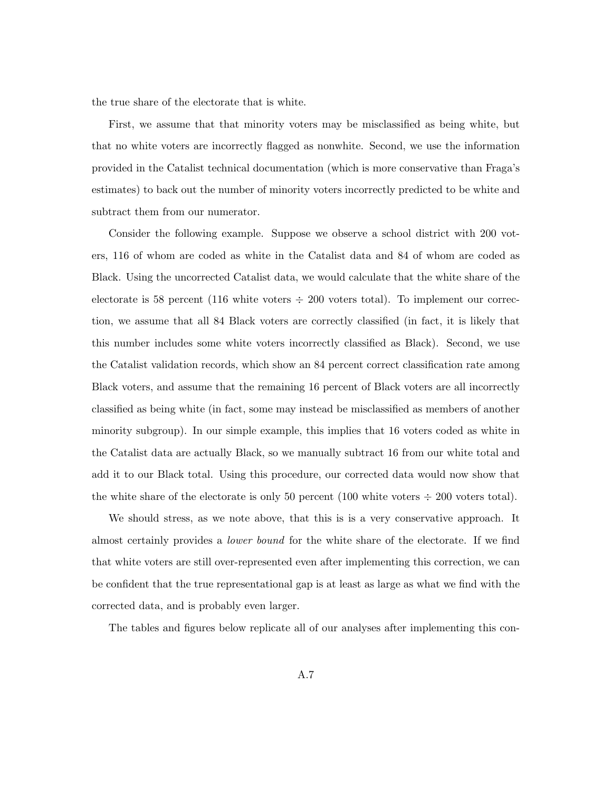the true share of the electorate that is white.

First, we assume that that minority voters may be misclassified as being white, but that no white voters are incorrectly flagged as nonwhite. Second, we use the information provided in the Catalist technical documentation (which is more conservative than Fraga's estimates) to back out the number of minority voters incorrectly predicted to be white and subtract them from our numerator.

Consider the following example. Suppose we observe a school district with 200 voters, 116 of whom are coded as white in the Catalist data and 84 of whom are coded as Black. Using the uncorrected Catalist data, we would calculate that the white share of the electorate is 58 percent (116 white voters  $\div$  200 voters total). To implement our correction, we assume that all 84 Black voters are correctly classified (in fact, it is likely that this number includes some white voters incorrectly classified as Black). Second, we use the Catalist validation records, which show an 84 percent correct classification rate among Black voters, and assume that the remaining 16 percent of Black voters are all incorrectly classified as being white (in fact, some may instead be misclassified as members of another minority subgroup). In our simple example, this implies that 16 voters coded as white in the Catalist data are actually Black, so we manually subtract 16 from our white total and add it to our Black total. Using this procedure, our corrected data would now show that the white share of the electorate is only 50 percent (100 white voters  $\div$  200 voters total).

We should stress, as we note above, that this is is a very conservative approach. It almost certainly provides a lower bound for the white share of the electorate. If we find that white voters are still over-represented even after implementing this correction, we can be confident that the true representational gap is at least as large as what we find with the corrected data, and is probably even larger.

The tables and figures below replicate all of our analyses after implementing this con-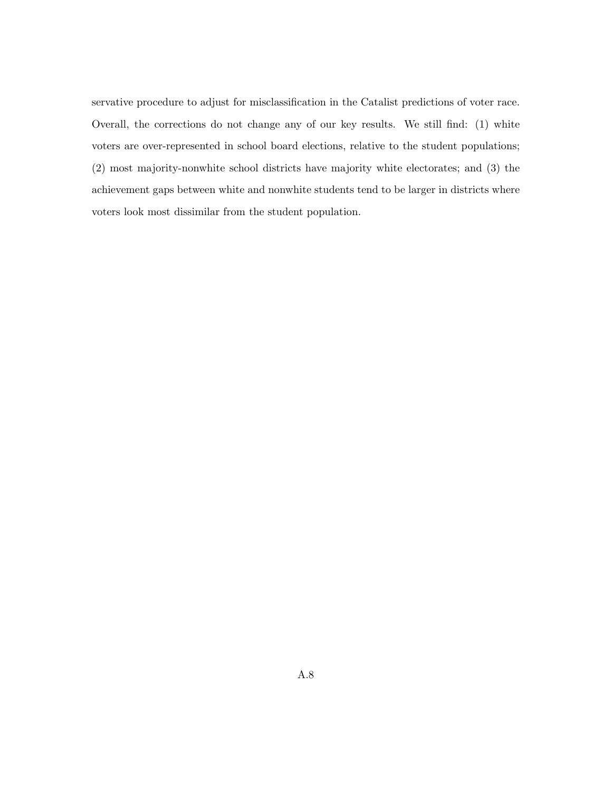servative procedure to adjust for misclassification in the Catalist predictions of voter race. Overall, the corrections do not change any of our key results. We still find: (1) white voters are over-represented in school board elections, relative to the student populations; (2) most majority-nonwhite school districts have majority white electorates; and (3) the achievement gaps between white and nonwhite students tend to be larger in districts where voters look most dissimilar from the student population.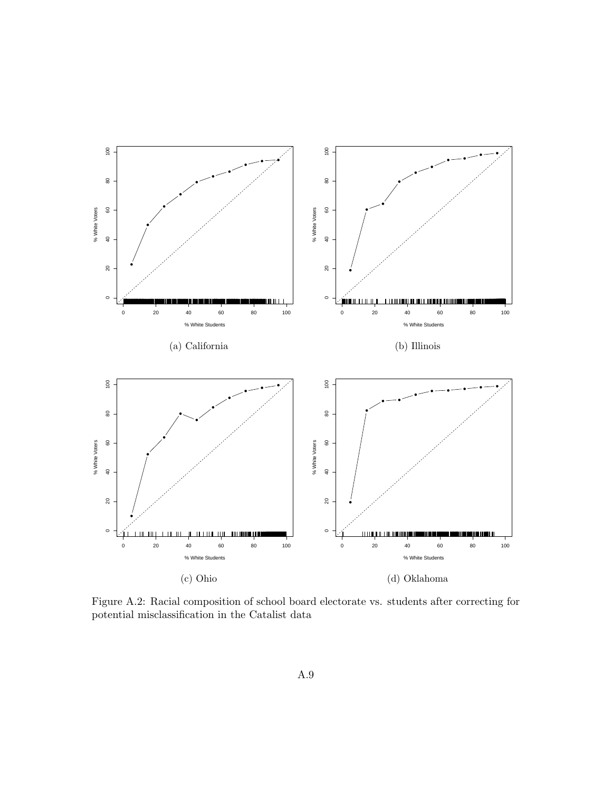

Figure A.2: Racial composition of school board electorate vs. students after correcting for potential misclassification in the Catalist data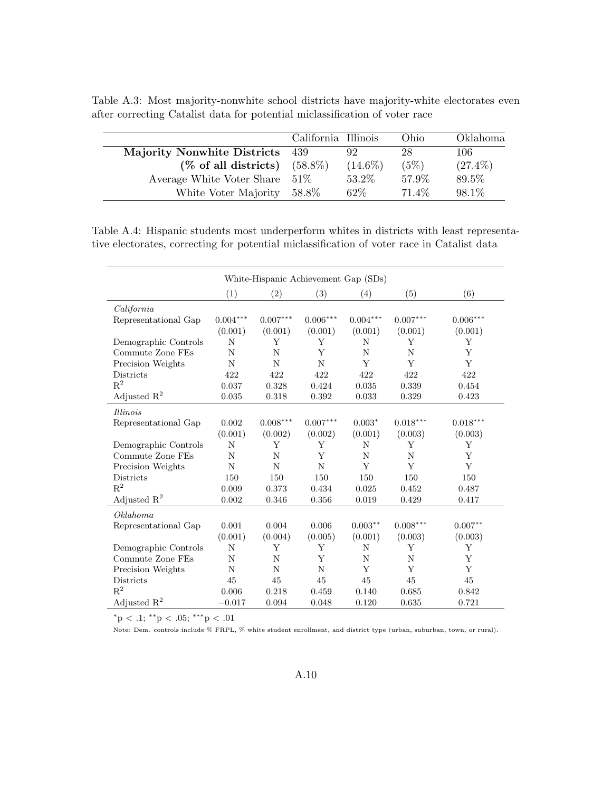Table A.3: Most majority-nonwhite school districts have majority-white electorates even after correcting Catalist data for potential miclassification of voter race

|                                    | California Illinois |            | Ohio   | Oklahoma   |
|------------------------------------|---------------------|------------|--------|------------|
| <b>Majority Nonwhite Districts</b> | - 439               | 92         | 28     | 106        |
| $(\%$ of all districts)            | $(58.8\%)$          | $(14.6\%)$ | (5%)   | $(27.4\%)$ |
| Average White Voter Share $51\%$   |                     | 53.2%      | 57.9%  | 89.5%      |
| White Voter Majority               | 58.8%               | $62\%$     | 71.4\% | 98.1%      |

Table A.4: Hispanic students most underperform whites in districts with least representative electorates, correcting for potential miclassification of voter race in Catalist data

| White-Hispanic Achievement Gap (SDs) |            |                |                 |            |                        |                 |
|--------------------------------------|------------|----------------|-----------------|------------|------------------------|-----------------|
|                                      | (1)        | (2)            | (3)             | (4)        | (5)                    | (6)             |
| California                           |            |                |                 |            |                        |                 |
| Representational Gap                 | $0.004***$ | $0.007***$     | $0.006^{***}\,$ | $0.004***$ | $0.007***$             | $0.006^{***}\,$ |
|                                      | (0.001)    | (0.001)        | (0.001)         | (0.001)    | (0.001)                | (0.001)         |
| Demographic Controls                 | N          | Υ              | Υ               | N          | Υ                      | Υ               |
| Commute Zone FEs                     | N          | N              | Y               | N          | N                      | Y               |
| Precision Weights                    | N          | N              | N               | Y          | Y                      | Y               |
| <b>Districts</b>                     | 422        | 422            | 422             | 422        | 422                    | 422             |
| $\mathbf{R}^2$                       | 0.037      | 0.328          | 0.424           | 0.035      | 0.339                  | 0.454           |
| Adjusted $\mathbb{R}^2$              | 0.035      | 0.318          | 0.392           | 0.033      | 0.329                  | 0.423           |
| <i>Illinois</i>                      |            |                |                 |            |                        |                 |
| Representational Gap                 | 0.002      | $0.008***$     | $0.007***$      | $0.003*$   | $0.018^{\ast\ast\ast}$ | $0.018***$      |
|                                      | (0.001)    | (0.002)        | (0.002)         | (0.001)    | (0.003)                | (0.003)         |
| Demographic Controls                 | N          | Y              | Y               | N          | Y                      | Υ               |
| Commute Zone FEs                     | N          | N              | Y               | N          | N                      | Y               |
| Precision Weights                    | N          | $\overline{N}$ | N               | Y          | Y                      | Y               |
| <b>Districts</b>                     | 150        | 150            | 150             | 150        | 150                    | 150             |
| $\mathbf{R}^2$                       | 0.009      | 0.373          | 0.434           | 0.025      | 0.452                  | 0.487           |
| Adjusted $R^2$                       | 0.002      | 0.346          | 0.356           | 0.019      | 0.429                  | 0.417           |
| Oklahoma                             |            |                |                 |            |                        |                 |
| Representational Gap                 | 0.001      | 0.004          | 0.006           | $0.003***$ | $0.008***$             | $0.007**$       |
|                                      | (0.001)    | (0.004)        | (0.005)         | (0.001)    | (0.003)                | (0.003)         |
| Demographic Controls                 | N          | Υ              | Υ               | N          | Υ                      | Υ               |
| Commute Zone FEs                     | N          | N              | Y               | N          | N                      | Y               |
| Precision Weights                    | N          | N              | N               | Y          | Y                      | Y               |
| <b>Districts</b>                     | 45         | 45             | 45              | 45         | 45                     | 45              |
| $R^2$                                | 0.006      | 0.218          | 0.459           | 0.140      | 0.685                  | 0.842           |
| Adjusted $R^2$                       | $-0.017$   | 0.094          | 0.048           | 0.120      | 0.635                  | 0.721           |

 $*$ <sup>r</sup>p < .1;  $*$ <sup>\*</sup>*p* < .05;  $*$ <sup>\*</sup>\**p* < .01

Note: Dem. controls include % FRPL, % white student enrollment, and district type (urban, suburban, town, or rural).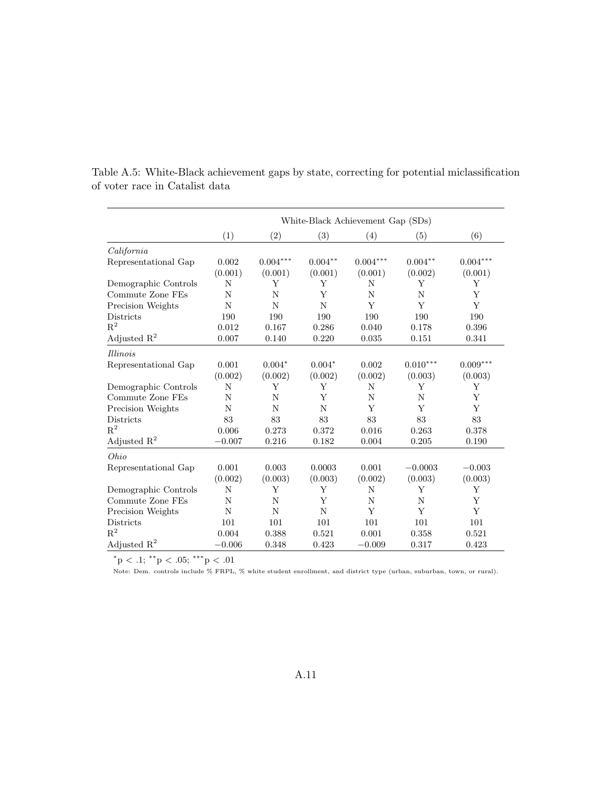|                         | White-Black Achievement Gap (SDs) |            |           |            |            |            |
|-------------------------|-----------------------------------|------------|-----------|------------|------------|------------|
|                         | (1)                               | (2)        | (3)       | (4)        | (5)        | (6)        |
| California              |                                   |            |           |            |            |            |
| Representational Gap    | 0.002                             | $0.004***$ | $0.004**$ | $0.004***$ | $0.004**$  | $0.004***$ |
|                         | (0.001)                           | (0.001)    | (0.001)   | (0.001)    | (0.002)    | (0.001)    |
| Demographic Controls    | N                                 | Y          | Υ         | N          | Υ          | Υ          |
| Commute Zone FEs        | N                                 | N          | Y         | N          | N          | Y          |
| Precision Weights       | N                                 | N          | N         | Y          | Y          | Y          |
| <b>Districts</b>        | 190                               | 190        | 190       | 190        | 190        | 190        |
| $\mathbf{R}^2$          | 0.012                             | 0.167      | 0.286     | 0.040      | 0.178      | 0.396      |
| Adjusted $R^2$          | 0.007                             | 0.140      | 0.220     | 0.035      | 0.151      | 0.341      |
| <i>Illinois</i>         |                                   |            |           |            |            |            |
| Representational Gap    | 0.001                             | $0.004*$   | $0.004*$  | 0.002      | $0.010***$ | $0.009***$ |
|                         | (0.002)                           | (0.002)    | (0.002)   | (0.002)    | (0.003)    | (0.003)    |
| Demographic Controls    | N                                 | Y          | Y         | N          | Y          | Y          |
| Commute Zone FEs        | N                                 | N          | Y         | N          | N          | Y          |
| Precision Weights       | N                                 | N          | N         | Y          | Y          | Y          |
| Districts               | 83                                | 83         | 83        | 83         | 83         | 83         |
| $R^2$                   | 0.006                             | 0.273      | 0.372     | 0.016      | 0.263      | 0.378      |
| Adjusted $\mathbb{R}^2$ | $-0.007$                          | 0.216      | 0.182     | 0.004      | 0.205      | 0.190      |
| Ohio                    |                                   |            |           |            |            |            |
| Representational Gap    | 0.001                             | 0.003      | 0.0003    | 0.001      | $-0.0003$  | $-0.003$   |
|                         | (0.002)                           | (0.003)    | (0.003)   | (0.002)    | (0.003)    | (0.003)    |
| Demographic Controls    | N                                 | Y          | Y         | N          | Y          | Y          |
| Commute Zone FEs        | N                                 | N          | Y         | N          | N          | Y          |
| Precision Weights       | N                                 | N          | N         | Y          | Y          | Y          |
| <b>Districts</b>        | 101                               | 101        | 101       | 101        | 101        | 101        |
| $R^2$                   | 0.004                             | 0.388      | 0.521     | 0.001      | 0.358      | 0.521      |
| Adjusted $R^2$          | $-0.006$                          | 0.348      | 0.423     | $-0.009$   | 0.317      | 0.423      |

Table A.5: White-Black achievement gaps by state, correcting for potential miclassification of voter race in Catalist data

 $^*{\rm p}$  < .1;  $^{**}{\rm p}$  < .05;  $^{***}{\rm p}$  < .01

Note: Dem. controls include % FRPL, % white student enrollment, and district type (urban, suburban, town, or rural).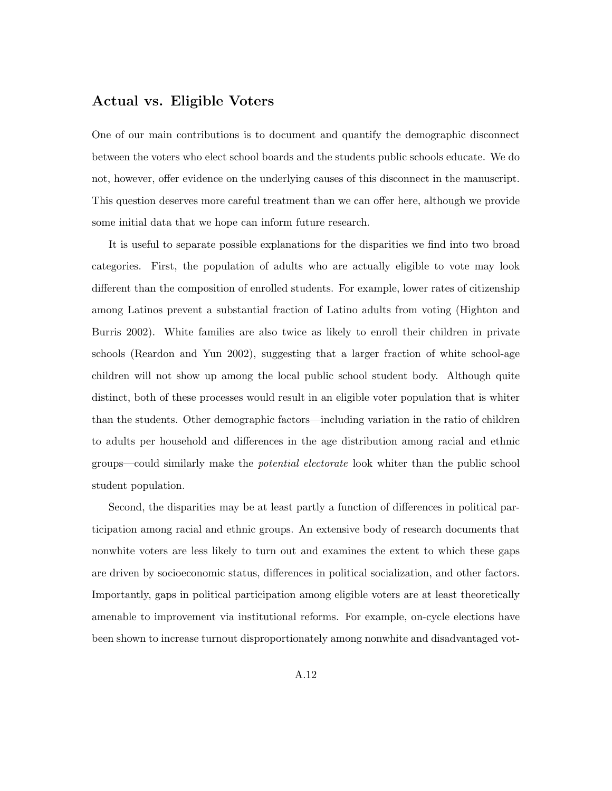#### Actual vs. Eligible Voters

One of our main contributions is to document and quantify the demographic disconnect between the voters who elect school boards and the students public schools educate. We do not, however, offer evidence on the underlying causes of this disconnect in the manuscript. This question deserves more careful treatment than we can offer here, although we provide some initial data that we hope can inform future research.

It is useful to separate possible explanations for the disparities we find into two broad categories. First, the population of adults who are actually eligible to vote may look different than the composition of enrolled students. For example, lower rates of citizenship among Latinos prevent a substantial fraction of Latino adults from voting (Highton and Burris 2002). White families are also twice as likely to enroll their children in private schools (Reardon and Yun 2002), suggesting that a larger fraction of white school-age children will not show up among the local public school student body. Although quite distinct, both of these processes would result in an eligible voter population that is whiter than the students. Other demographic factors—including variation in the ratio of children to adults per household and differences in the age distribution among racial and ethnic groups—could similarly make the potential electorate look whiter than the public school student population.

Second, the disparities may be at least partly a function of differences in political participation among racial and ethnic groups. An extensive body of research documents that nonwhite voters are less likely to turn out and examines the extent to which these gaps are driven by socioeconomic status, differences in political socialization, and other factors. Importantly, gaps in political participation among eligible voters are at least theoretically amenable to improvement via institutional reforms. For example, on-cycle elections have been shown to increase turnout disproportionately among nonwhite and disadvantaged vot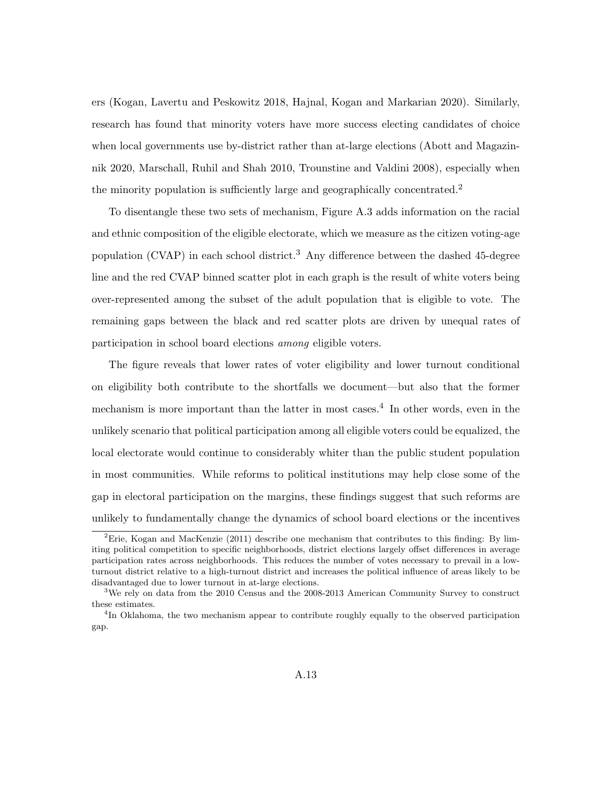ers (Kogan, Lavertu and Peskowitz 2018, Hajnal, Kogan and Markarian 2020). Similarly, research has found that minority voters have more success electing candidates of choice when local governments use by-district rather than at-large elections (Abott and Magazinnik 2020, Marschall, Ruhil and Shah 2010, Trounstine and Valdini 2008), especially when the minority population is sufficiently large and geographically concentrated.<sup>2</sup>

To disentangle these two sets of mechanism, Figure A.3 adds information on the racial and ethnic composition of the eligible electorate, which we measure as the citizen voting-age population (CVAP) in each school district.<sup>3</sup> Any difference between the dashed 45-degree line and the red CVAP binned scatter plot in each graph is the result of white voters being over-represented among the subset of the adult population that is eligible to vote. The remaining gaps between the black and red scatter plots are driven by unequal rates of participation in school board elections among eligible voters.

The figure reveals that lower rates of voter eligibility and lower turnout conditional on eligibility both contribute to the shortfalls we document—but also that the former mechanism is more important than the latter in most cases.<sup>4</sup> In other words, even in the unlikely scenario that political participation among all eligible voters could be equalized, the local electorate would continue to considerably whiter than the public student population in most communities. While reforms to political institutions may help close some of the gap in electoral participation on the margins, these findings suggest that such reforms are unlikely to fundamentally change the dynamics of school board elections or the incentives

<sup>&</sup>lt;sup>2</sup>Erie, Kogan and MacKenzie (2011) describe one mechanism that contributes to this finding: By limiting political competition to specific neighborhoods, district elections largely offset differences in average participation rates across neighborhoods. This reduces the number of votes necessary to prevail in a lowturnout district relative to a high-turnout district and increases the political influence of areas likely to be disadvantaged due to lower turnout in at-large elections.

<sup>&</sup>lt;sup>3</sup>We rely on data from the 2010 Census and the 2008-2013 American Community Survey to construct these estimates.

<sup>&</sup>lt;sup>4</sup>In Oklahoma, the two mechanism appear to contribute roughly equally to the observed participation gap.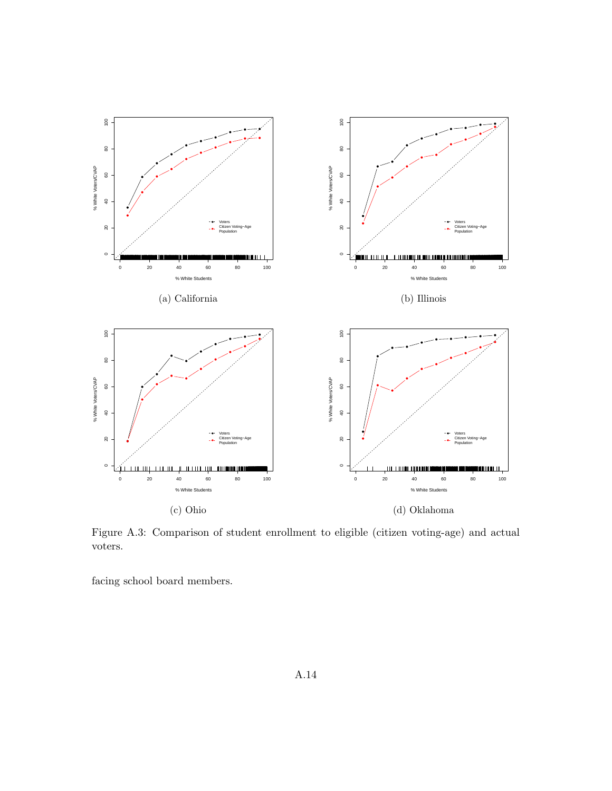

Figure A.3: Comparison of student enrollment to eligible (citizen voting-age) and actual voters.

facing school board members.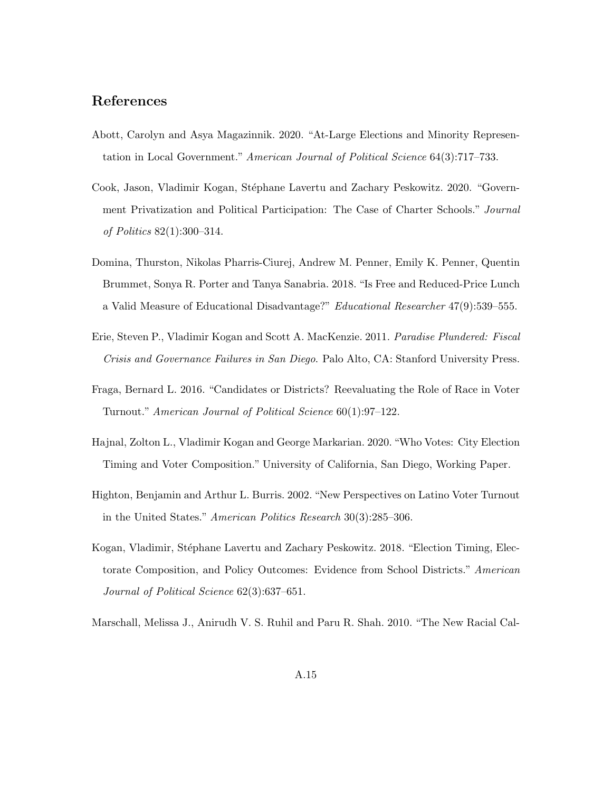### References

- Abott, Carolyn and Asya Magazinnik. 2020. "At-Large Elections and Minority Representation in Local Government." American Journal of Political Science 64(3):717–733.
- Cook, Jason, Vladimir Kogan, Stéphane Lavertu and Zachary Peskowitz. 2020. "Government Privatization and Political Participation: The Case of Charter Schools." Journal of Politics 82(1):300–314.
- Domina, Thurston, Nikolas Pharris-Ciurej, Andrew M. Penner, Emily K. Penner, Quentin Brummet, Sonya R. Porter and Tanya Sanabria. 2018. "Is Free and Reduced-Price Lunch a Valid Measure of Educational Disadvantage?" Educational Researcher 47(9):539–555.
- Erie, Steven P., Vladimir Kogan and Scott A. MacKenzie. 2011. Paradise Plundered: Fiscal Crisis and Governance Failures in San Diego. Palo Alto, CA: Stanford University Press.
- Fraga, Bernard L. 2016. "Candidates or Districts? Reevaluating the Role of Race in Voter Turnout." American Journal of Political Science 60(1):97–122.
- Hajnal, Zolton L., Vladimir Kogan and George Markarian. 2020. "Who Votes: City Election Timing and Voter Composition." University of California, San Diego, Working Paper.
- Highton, Benjamin and Arthur L. Burris. 2002. "New Perspectives on Latino Voter Turnout in the United States." American Politics Research 30(3):285–306.
- Kogan, Vladimir, Stéphane Lavertu and Zachary Peskowitz. 2018. "Election Timing, Electorate Composition, and Policy Outcomes: Evidence from School Districts." American Journal of Political Science 62(3):637–651.
- Marschall, Melissa J., Anirudh V. S. Ruhil and Paru R. Shah. 2010. "The New Racial Cal-